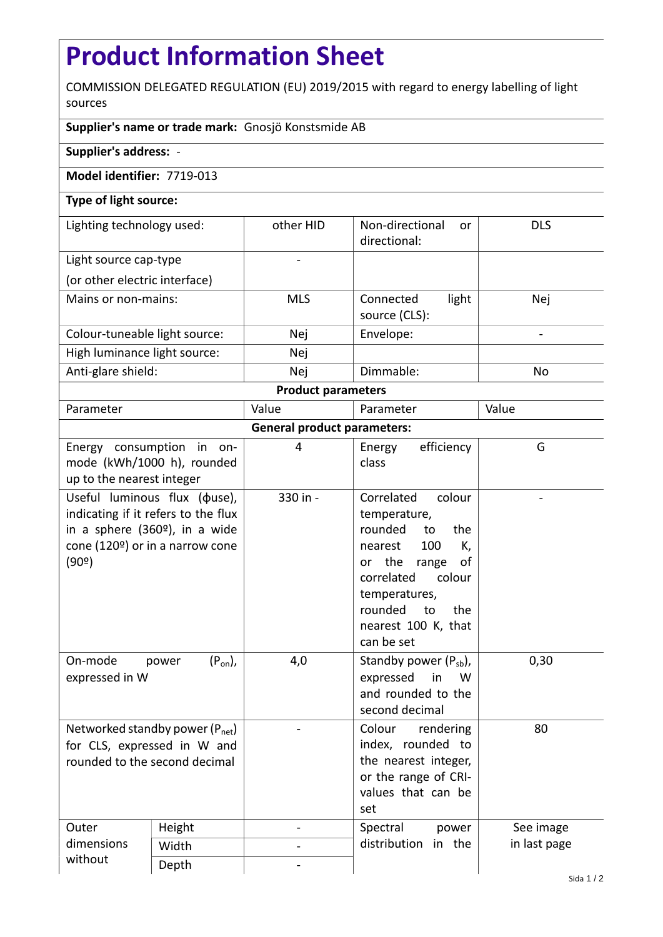# **Product Information Sheet**

COMMISSION DELEGATED REGULATION (EU) 2019/2015 with regard to energy labelling of light sources

# **Supplier's name or trade mark:** Gnosjö Konstsmide AB

## **Supplier's address:** -

## **Model identifier:** 7719-013

## **Type of light source:**

| Lighting technology used:     | other HID  | Non-directional<br>or<br>directional: | <b>DLS</b> |  |  |
|-------------------------------|------------|---------------------------------------|------------|--|--|
| Light source cap-type         |            |                                       |            |  |  |
| (or other electric interface) |            |                                       |            |  |  |
| Mains or non-mains:           | <b>MLS</b> | light<br>Connected<br>source (CLS):   | Nej        |  |  |
| Colour-tuneable light source: | Nej        | Envelope:                             | -          |  |  |
| High luminance light source:  | Nej        |                                       |            |  |  |
| Anti-glare shield:            | Nej        | Dimmable:                             | No         |  |  |
| <b>Product parameters</b>     |            |                                       |            |  |  |

| Parameter                          |                                                                                                                                                                 | Value    | Parameter                                                                                                                                                                                                           | Value        |  |  |
|------------------------------------|-----------------------------------------------------------------------------------------------------------------------------------------------------------------|----------|---------------------------------------------------------------------------------------------------------------------------------------------------------------------------------------------------------------------|--------------|--|--|
| <b>General product parameters:</b> |                                                                                                                                                                 |          |                                                                                                                                                                                                                     |              |  |  |
| up to the nearest integer          | Energy consumption in on-<br>mode (kWh/1000 h), rounded                                                                                                         | 4        | efficiency<br>Energy<br>class                                                                                                                                                                                       | G            |  |  |
| (90°)                              | Useful luminous flux ( $\phi$ use),<br>indicating if it refers to the flux<br>in a sphere (360 <sup>o</sup> ), in a wide<br>cone (120 $9$ ) or in a narrow cone | 330 in - | Correlated<br>colour<br>temperature,<br>rounded<br>the<br>to<br>100<br>K,<br>nearest<br>or the<br>range<br>οf<br>correlated<br>colour<br>temperatures,<br>rounded<br>to<br>the<br>nearest 100 K, that<br>can be set |              |  |  |
| On-mode<br>expressed in W          | $(P_{on})$ ,<br>power                                                                                                                                           | 4,0      | Standby power $(P_{sb})$ ,<br>expressed<br>in<br>W<br>and rounded to the<br>second decimal                                                                                                                          | 0,30         |  |  |
| rounded to the second decimal      | Networked standby power (P <sub>net</sub> )<br>for CLS, expressed in W and                                                                                      |          | Colour<br>rendering<br>index, rounded to<br>the nearest integer,<br>or the range of CRI-<br>values that can be<br>set                                                                                               | 80           |  |  |
| Outer<br>dimensions<br>without     | Height                                                                                                                                                          |          | Spectral<br>power<br>distribution<br>in the                                                                                                                                                                         | See image    |  |  |
|                                    | Width                                                                                                                                                           |          |                                                                                                                                                                                                                     | in last page |  |  |
|                                    | Depth                                                                                                                                                           |          |                                                                                                                                                                                                                     |              |  |  |